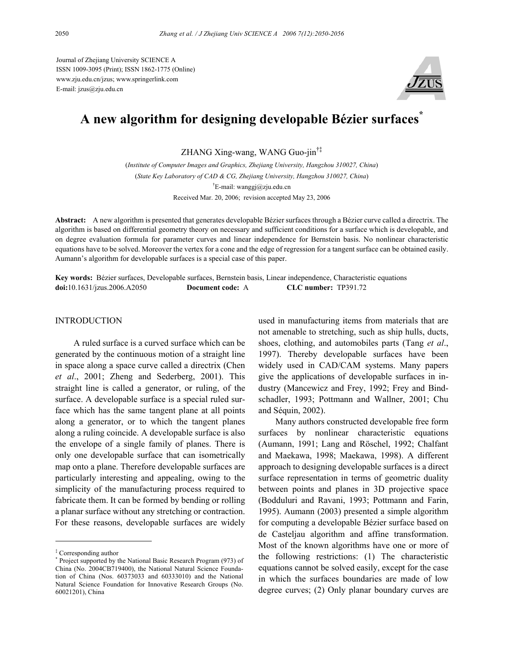Journal of Zhejiang University SCIENCE A ISSN 1009-3095 (Print); ISSN 1862-1775 (Online) www.zju.edu.cn/jzus; www.springerlink.com E-mail: jzus@zju.edu.cn



# **A new algorithm for designing developable Bézier surfaces\***

ZHANG Xing-wang, WANG Guo-jin†‡

(*Institute of Computer Images and Graphics, Zhejiang University, Hangzhou 310027, China*) (*State Key Laboratory of CAD & CG, Zhejiang University, Hangzhou 310027, China*) † E-mail: wanggj@zju.edu.cn Received Mar. 20, 2006; revision accepted May 23, 2006

**Abstract:** A new algorithm is presented that generates developable Bézier surfaces through a Bézier curve called a directrix. The algorithm is based on differential geometry theory on necessary and sufficient conditions for a surface which is developable, and on degree evaluation formula for parameter curves and linear independence for Bernstein basis. No nonlinear characteristic equations have to be solved. Moreover the vertex for a cone and the edge of regression for a tangent surface can be obtained easily. Aumann's algorithm for developable surfaces is a special case of this paper.

**Key words:** Bézier surfaces, Developable surfaces, Bernstein basis, Linear independence, Characteristic equations **doi:**10.1631/jzus.2006.A2050 **Document code:** A **CLC number:** TP391.72

### **INTRODUCTION**

A ruled surface is a curved surface which can be generated by the continuous motion of a straight line in space along a space curve called a directrix (Chen *et al*., 2001; Zheng and Sederberg, 2001). This straight line is called a generator, or ruling, of the surface. A developable surface is a special ruled surface which has the same tangent plane at all points along a generator, or to which the tangent planes along a ruling coincide. A developable surface is also the envelope of a single family of planes. There is only one developable surface that can isometrically map onto a plane. Therefore developable surfaces are particularly interesting and appealing, owing to the simplicity of the manufacturing process required to fabricate them. It can be formed by bending or rolling a planar surface without any stretching or contraction. For these reasons, developable surfaces are widely

used in manufacturing items from materials that are not amenable to stretching, such as ship hulls, ducts, shoes, clothing, and automobiles parts (Tang *et al*., 1997). Thereby developable surfaces have been widely used in CAD/CAM systems. Many papers give the applications of developable surfaces in industry (Mancewicz and Frey, 1992; Frey and Bindschadler, 1993; Pottmann and Wallner, 2001; Chu and Séquin, 2002).

Many authors constructed developable free form surfaces by nonlinear characteristic equations (Aumann, 1991; Lang and Röschel, 1992; Chalfant and Maekawa, 1998; Maekawa, 1998). A different approach to designing developable surfaces is a direct surface representation in terms of geometric duality between points and planes in 3D projective space (Bodduluri and Ravani, 1993; Pottmann and Farin, 1995). Aumann (2003) presented a simple algorithm for computing a developable Bézier surface based on de Casteljau algorithm and affine transformation. Most of the known algorithms have one or more of the following restrictions: (1) The characteristic equations cannot be solved easily, except for the case in which the surfaces boundaries are made of low degree curves; (2) Only planar boundary curves are

<sup>‡</sup> Corresponding author

<sup>\*</sup> Project supported by the National Basic Research Program (973) of China (No. 2004CB719400), the National Natural Science Foundation of China (Nos. 60373033 and 60333010) and the National Natural Science Foundation for Innovative Research Groups (No. 60021201), China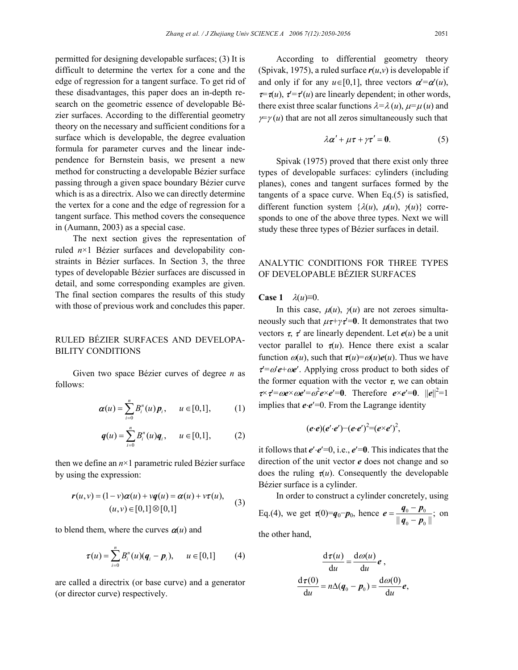permitted for designing developable surfaces; (3) It is difficult to determine the vertex for a cone and the edge of regression for a tangent surface. To get rid of these disadvantages, this paper does an in-depth research on the geometric essence of developable Bézier surfaces. According to the differential geometry theory on the necessary and sufficient conditions for a surface which is developable, the degree evaluation formula for parameter curves and the linear independence for Bernstein basis, we present a new method for constructing a developable Bézier surface passing through a given space boundary Bézier curve which is as a directrix. Also we can directly determine the vertex for a cone and the edge of regression for a tangent surface. This method covers the consequence in (Aumann, 2003) as a special case.

The next section gives the representation of ruled *n*×1 Bézier surfaces and developability constraints in Bézier surfaces. In Section 3, the three types of developable Bézier surfaces are discussed in detail, and some corresponding examples are given. The final section compares the results of this study with those of previous work and concludes this paper.

## RULED BÉZIER SURFACES AND DEVELOPA-BILITY CONDITIONS

Given two space Bézier curves of degree *n* as follows:

$$
\boldsymbol{\alpha}(u) = \sum_{i=0}^{n} B_i^n(u) \, \boldsymbol{p}_i, \qquad u \in [0,1], \tag{1}
$$

$$
q(u) = \sum_{i=0}^{n} B_i^n(u) q_i, \quad u \in [0,1], \tag{2}
$$

then we define an *n*×1 parametric ruled Bézier surface by using the expression:

$$
\mathbf{r}(u, v) = (1 - v)\boldsymbol{\alpha}(u) + v\mathbf{q}(u) = \boldsymbol{\alpha}(u) + v\mathbf{r}(u),
$$
  
(*u, v*)  $\in [0, 1] \otimes [0, 1]$  (3)

to blend them, where the curves  $\alpha(u)$  and

$$
\tau(u) = \sum_{i=0}^{n} B_i^n(u)(\mathbf{q}_i - \mathbf{p}_i), \quad u \in [0,1]
$$
 (4)

are called a directrix (or base curve) and a generator (or director curve) respectively.

According to differential geometry theory (Spivak, 1975), a ruled surface  $r(u, v)$  is developable if and only if for any  $u \in [0,1]$ , three vectors  $\alpha = \alpha'(u)$ ,  $\tau = \tau(u)$ ,  $\tau' = \tau'(u)$  are linearly dependent; in other words, there exist three scalar functions  $\lambda = \lambda(u)$ ,  $\mu = \mu(u)$  and  $\gamma = \gamma(u)$  that are not all zeros simultaneously such that

$$
\lambda \alpha' + \mu \tau + \gamma \tau' = 0. \tag{5}
$$

Spivak (1975) proved that there exist only three types of developable surfaces: cylinders (including planes), cones and tangent surfaces formed by the tangents of a space curve. When Eq.(5) is satisfied, different function system  $\{\lambda(u), \mu(u), \gamma(u)\}\)$  corresponds to one of the above three types. Next we will study these three types of Bézier surfaces in detail.

## ANALYTIC CONDITIONS FOR THREE TYPES OF DEVELOPABLE BÉZIER SURFACES

**Case 1**  $\lambda(u) \equiv 0$ .

In this case,  $\mu(u)$ ,  $\chi(u)$  are not zeroes simultaneously such that  $\mu \tau + \gamma \tau' = 0$ . It demonstrates that two vectors  $\tau$ ,  $\tau'$  are linearly dependent. Let  $e(u)$  be a unit vector parallel to  $\tau(u)$ . Hence there exist a scalar function  $\omega(u)$ , such that  $\tau(u) = \omega(u)e(u)$ . Thus we have  $\tau'=\omega' e^+\omega e'$ . Applying cross product to both sides of the former equation with the vector  $\tau$ , we can obtain  $\tau \times \tau' = \omega e \times \omega e' = \omega^2 e \times e' = 0$ . Therefore  $e \times e' = 0$ .  $||e||^2 = 1$ implies that *e*⋅*e*′=0. From the Lagrange identity

$$
(e\cdot e)(e'\cdot e')-(e\cdot e')^2=(e\times e')^2,
$$

it follows that *e*′⋅*e*′=0, i.e., *e*′=**0**. This indicates that the direction of the unit vector *e* does not change and so does the ruling  $\tau(u)$ . Consequently the developable Bézier surface is a cylinder.

In order to construct a cylinder concretely, using Eq.(4), we get  $\tau(0)=q_0-p_0$ , hence  $e=\frac{q_0-p_0}{q_0-p_0}$  $e = \frac{q_0 - p_0}{\|q_0 - p_0\|}$  $q_0 - p$ on

the other hand,

$$
\frac{d\tau(u)}{du} = \frac{d\omega(u)}{du} e,
$$
  

$$
\frac{d\tau(0)}{du} = n\Delta(q_0 - p_0) = \frac{d\omega(0)}{du} e,
$$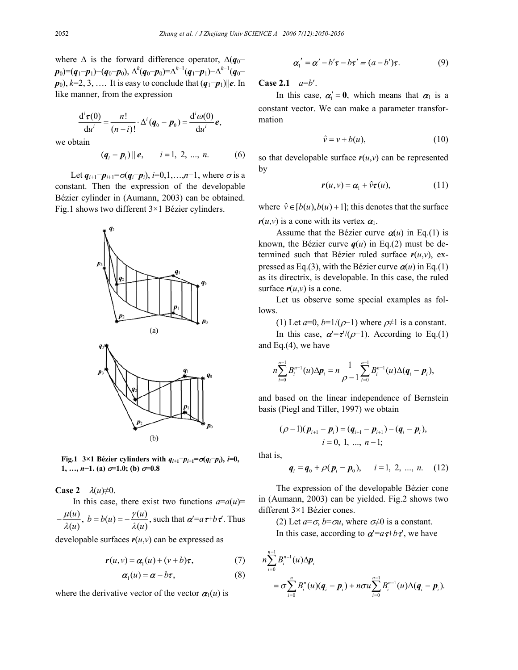where  $\Delta$  is the forward difference operator,  $\Delta(q_0$ *p*0)=(*q*1−*p*1)−(*q*0−*p*0), ∆*<sup>k</sup>* (*q*0−*p*0)=∆*<sup>k</sup>*−<sup>1</sup> (*q*1−*p*1)−∆*<sup>k</sup>*−<sup>1</sup> (*q*0−  $p_0$ ,  $k=2, 3, \ldots$  It is easy to conclude that  $(q_1-p_1)||e$ . In like manner, from the expression

$$
\frac{\mathrm{d}^i\boldsymbol{\tau}(0)}{\mathrm{d}u^i} = \frac{n!}{(n-i)!} \cdot \Delta^i (\boldsymbol{q}_0 - \boldsymbol{p}_0) = \frac{\mathrm{d}^i\omega(0)}{\mathrm{d}u^i} \boldsymbol{e},
$$

we obtain

$$
(q_i - p_i) || e
$$
,  $i = 1, 2, ..., n$ . (6)

Let  $q_{i+1}$ − $p_{i+1}$ = $\sigma(q_i - p_i)$ , *i*=0,1,…,*n*−1, where  $\sigma$  is a constant. Then the expression of the developable Bézier cylinder in (Aumann, 2003) can be obtained. Fig.1 shows two different 3×1 Bézier cylinders.



**Fig.1** 3×1 Bézier cylinders with  $q_{i+1}$ <sup>-</sup> $p_{i+1}$ = $\sigma(q_i-p_i)$ , *i*=0, **1**, …,  $n-1$ . (a)  $\sigma=1.0$ ; (b)  $\sigma=0.8$ 

**Case 2**  $\lambda(u) \neq 0$ .

In this case, there exist two functions  $a=a(u)$ =

$$
-\frac{\mu(u)}{\lambda(u)}, b = b(u) = -\frac{\gamma(u)}{\lambda(u)}, \text{ such that } \alpha = a\tau + b\tau'. \text{ Thus}
$$

developable surfaces  $r(u, v)$  can be expressed as

$$
\mathbf{r}(u,v) = \mathbf{\alpha}_1(u) + (v+b)\mathbf{\tau},\tag{7}
$$

$$
\boldsymbol{\alpha}_1(u) = \boldsymbol{\alpha} - b\boldsymbol{\tau},\tag{8}
$$

where the derivative vector of the vector  $\alpha_1(u)$  is

$$
\boldsymbol{\alpha}'_1 = \boldsymbol{\alpha}' - b'\boldsymbol{\tau} - b\boldsymbol{\tau}' = (a - b')\boldsymbol{\tau}.
$$
 (9)

**Case 2.1** *a*=*b*′.

In this case,  $\alpha' = 0$ , which means that  $\alpha_1$  is a constant vector. We can make a parameter transformation

$$
\hat{v} = v + b(u),\tag{10}
$$

so that developable surface  $r(u,v)$  can be represented by

$$
\mathbf{r}(u, v) = \mathbf{\alpha}_1 + \hat{v}\mathbf{\tau}(u), \qquad (11)
$$

where  $\hat{v} \in [b(u), b(u) + 1]$ ; this denotes that the surface  $r(u, v)$  is a cone with its vertex  $\alpha_1$ .

Assume that the Bézier curve  $\alpha(u)$  in Eq.(1) is known, the Bézier curve  $q(u)$  in Eq.(2) must be determined such that Bézier ruled surface  $r(u, v)$ , expressed as Eq.(3), with the Bézier curve  $\alpha(u)$  in Eq.(1) as its directrix, is developable. In this case, the ruled surface  $r(u, v)$  is a cone.

Let us observe some special examples as follows.

(1) Let 
$$
a=0
$$
,  $b=1/(\rho-1)$  where  $\rho\neq1$  is a constant.

In this case,  $\alpha' = \tau/(\rho-1)$ . According to Eq.(1) and Eq.(4), we have

$$
n\sum_{i=0}^{n-1}B_i^{n-1}(u)\Delta p_i=n\frac{1}{\rho-1}\sum_{i=0}^{n-1}B_i^{n-1}(u)\Delta(q_i-p_i),
$$

and based on the linear independence of Bernstein basis (Piegl and Tiller, 1997) we obtain

$$
(\rho-1)(p_{i+1}-p_i)=(q_{i+1}-p_{i+1})-(q_i-p_i),
$$
  

$$
i=0, 1, ..., n-1;
$$

that is,

$$
q_i = q_0 + \rho(p_i - p_0), \quad i = 1, 2, ..., n.
$$
 (12)

The expression of the developable Bézier cone in (Aumann, 2003) can be yielded. Fig.2 shows two different 3×1 Bézier cones.

(2) Let  $a=\sigma$ ,  $b=\sigma u$ , where  $\sigma \neq 0$  is a constant. In this case, according to  $\alpha = a\tau + b\tau'$ , we have

$$
n\sum_{i=0}^{n-1} B_i^{n-1}(u) \Delta p_i
$$
  
=  $\sigma \sum_{i=0}^n B_i^n(u) (q_i - p_i) + n\sigma u \sum_{i=0}^{n-1} B_i^{n-1}(u) \Delta (q_i - p_i).$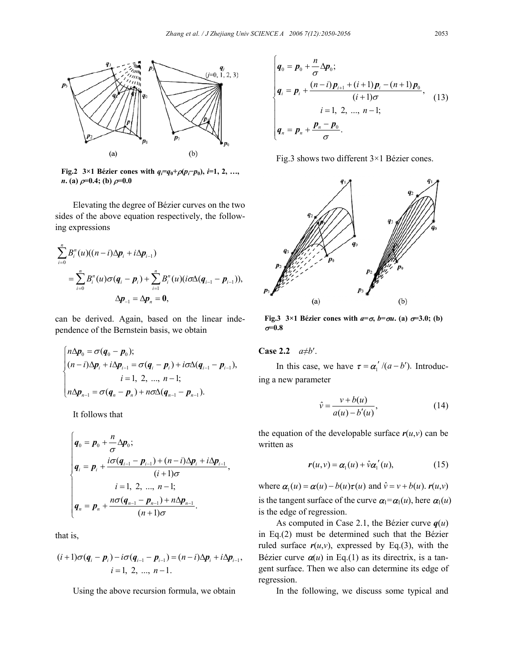

**Fig.2** 3×1 Bézier cones with  $q_i = q_0 + \rho(p_i - p_0)$ , *i*=1, 2, …, *n***.** (a)  $\rho$ =0.4; (b)  $\rho$ =0.0

Elevating the degree of Bézier curves on the two sides of the above equation respectively, the following expressions

$$
\sum_{i=0}^{n} B_{i}^{n}(u)((n-i)\Delta p_{i} + i\Delta p_{i-1})
$$
\n
$$
= \sum_{i=0}^{n} B_{i}^{n}(u)\sigma(q_{i} - p_{i}) + \sum_{i=1}^{n} B_{i}^{n}(u)(i\sigma\Delta(q_{i-1} - p_{i-1})),
$$
\n
$$
\Delta p_{-1} = \Delta p_{n} = 0,
$$

can be derived. Again, based on the linear independence of the Bernstein basis, we obtain

$$
\begin{cases}\nn\Delta p_0 = \sigma(q_0 - p_0); \\
(n-i)\Delta p_i + i\Delta p_{i-1} = \sigma(q_i - p_i) + i\sigma\Delta(q_{i-1} - p_{i-1}), \\
i = 1, 2, ..., n-1; \\
n\Delta p_{n-1} = \sigma(q_n - p_n) + n\sigma\Delta(q_{n-1} - p_{n-1}).\n\end{cases}
$$

It follows that

$$
\begin{cases}\n\boldsymbol{q}_{0} = \boldsymbol{p}_{0} + \frac{n}{\sigma} \Delta \boldsymbol{p}_{0}; \\
\boldsymbol{q}_{i} = \boldsymbol{p}_{i} + \frac{i \sigma (\boldsymbol{q}_{i-1} - \boldsymbol{p}_{i-1}) + (n - i) \Delta \boldsymbol{p}_{i} + i \Delta \boldsymbol{p}_{i-1}}{(i + 1) \sigma}, \\
i = 1, 2, ..., n - 1; \\
\boldsymbol{q}_{n} = \boldsymbol{p}_{n} + \frac{n \sigma (\boldsymbol{q}_{n-1} - \boldsymbol{p}_{n-1}) + n \Delta \boldsymbol{p}_{n-1}}{(n + 1) \sigma}.\n\end{cases}
$$

that is,

$$
(i+1)\sigma(q_i - p_i) - i\sigma(q_{i-1} - p_{i-1}) = (n-i)\Delta p_i + i\Delta p_{i-1},
$$
  

$$
i = 1, 2, ..., n-1.
$$

Using the above recursion formula, we obtain

$$
\begin{cases}\n\boldsymbol{q}_0 = \boldsymbol{p}_0 + \frac{n}{\sigma} \Delta \boldsymbol{p}_0; \\
\boldsymbol{q}_i = \boldsymbol{p}_i + \frac{(n-i)\boldsymbol{p}_{i+1} + (i+1)\boldsymbol{p}_i - (n+1)\boldsymbol{p}_0}{(i+1)\sigma}, \\
i = 1, 2, ..., n-1; \\
\boldsymbol{q}_n = \boldsymbol{p}_n + \frac{\boldsymbol{p}_n - \boldsymbol{p}_0}{\sigma}.\n\end{cases}
$$
\n(13)

Fig.3 shows two different 3×1 Bézier cones.



**Fig.3** 3×1 Bézier cones with  $a=\sigma$ ,  $b=\sigma u$ . (a)  $\sigma=3.0$ ; (b)  $\sigma$ =0.8

**Case 2.2** *a*≠*b*′.

In this case, we have  $\tau = \alpha' / (a - b')$ . Introducing a new parameter

$$
\hat{v} = \frac{v + b(u)}{a(u) - b'(u)},\tag{14}
$$

the equation of the developable surface  $r(u, v)$  can be written as

$$
\mathbf{r}(u, v) = \mathbf{\alpha}_1(u) + \hat{v} \mathbf{\alpha}_1'(u), \tag{15}
$$

where  $\alpha_1(u) = \alpha(u) - b(u)\tau(u)$  and  $\hat{v} = v + b(u)$ .  $r(u,v)$ is the tangent surface of the curve  $\alpha_1 = \alpha_1(u)$ , here  $\alpha_1(u)$ is the edge of regression.

As computed in Case 2.1, the Bézier curve  $q(u)$ in Eq.(2) must be determined such that the Bézier ruled surface  $r(u, v)$ , expressed by Eq.(3), with the Bézier curve  $\alpha(u)$  in Eq.(1) as its directrix, is a tangent surface. Then we also can determine its edge of regression.

In the following, we discuss some typical and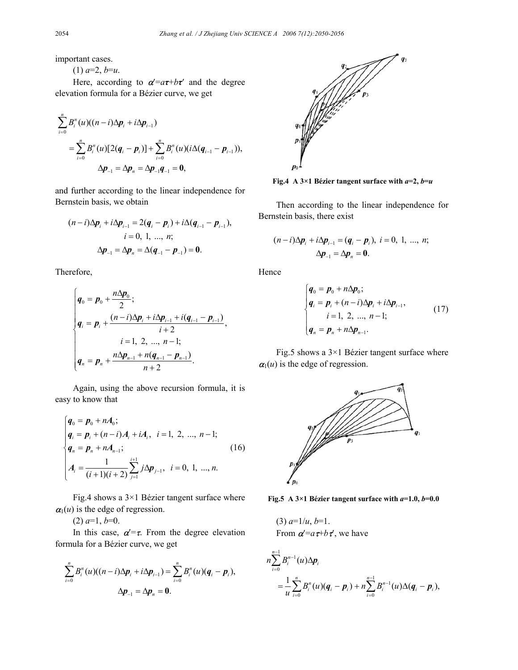important cases.

 $(1)$   $a=2, b=u$ .

Here, according to  $\alpha' = a\tau + b\tau'$  and the degree elevation formula for a Bézier curve, we get

$$
\sum_{i=0}^{n} B_{i}^{n}(u)((n-i)\Delta p_{i} + i\Delta p_{i-1})
$$
\n
$$
= \sum_{i=0}^{n} B_{i}^{n}(u)[2(q_{i} - p_{i})] + \sum_{i=0}^{n} B_{i}^{n}(u)(i\Delta(q_{i-1} - p_{i-1})),
$$
\n
$$
\Delta p_{-1} = \Delta p_{n} = \Delta p_{-1}q_{-1} = 0,
$$

and further according to the linear independence for Bernstein basis, we obtain

$$
(n-i)\Delta p_i + i\Delta p_{i-1} = 2(q_i - p_i) + i\Delta(q_{i-1} - p_{i-1}),
$$
  
\n $i = 0, 1, ..., n;$   
\n
$$
\Delta p_{-1} = \Delta p_n = \Delta(q_{-1} - p_{-1}) = 0.
$$

Therefore,

$$
\begin{cases}\n\boldsymbol{q}_0 = \boldsymbol{p}_0 + \frac{n \Delta \boldsymbol{p}_0}{2}; \\
\boldsymbol{q}_i = \boldsymbol{p}_i + \frac{(n-i) \Delta \boldsymbol{p}_i + i \Delta \boldsymbol{p}_{i-1} + i (\boldsymbol{q}_{i-1} - \boldsymbol{p}_{i-1})}{i+2}, \\
i = 1, 2, ..., n-1; \\
\boldsymbol{q}_n = \boldsymbol{p}_n + \frac{n \Delta \boldsymbol{p}_{n-1} + n (\boldsymbol{q}_{n-1} - \boldsymbol{p}_{n-1})}{n+2}.\n\end{cases}
$$

Again, using the above recursion formula, it is easy to know that

$$
\begin{cases}\n\mathbf{q}_0 = \mathbf{p}_0 + n\mathbf{A}_0; \\
\mathbf{q}_i = \mathbf{p}_i + (n-i)\mathbf{A}_i + i\mathbf{A}_i, \quad i = 1, 2, ..., n-1; \\
\mathbf{q}_n = \mathbf{p}_n + n\mathbf{A}_{n-1}; \\
\mathbf{A}_i = \frac{1}{(i+1)(i+2)} \sum_{j=1}^{i+1} j\Delta \mathbf{p}_{j-1}, \quad i = 0, 1, ..., n.\n\end{cases}
$$
\n(16)

Fig.4 shows a  $3\times1$  Bézier tangent surface where  $\alpha_1(u)$  is the edge of regression.

 $(2)$   $a=1, b=0.$ 

In this case,  $\alpha' = \tau$ . From the degree elevation formula for a Bézier curve, we get

$$
\sum_{i=0}^{n} B_{i}^{n}(u)((n-i)\Delta p_{i}+i\Delta p_{i-1})=\sum_{i=0}^{n} B_{i}^{n}(u)(q_{i}-p_{i}),
$$
  

$$
\Delta p_{-1}=\Delta p_{n}=0.
$$



**Fig.4** A 3×1 Bézier tangent surface with  $a=2$ ,  $b=u$ 

Then according to the linear independence for Bernstein basis, there exist

$$
(n-i)\Delta p_i + i\Delta p_{i-1} = (q_i - p_i), i = 0, 1, ..., n;
$$
  

$$
\Delta p_{-1} = \Delta p_n = 0.
$$

Hence

$$
\begin{cases}\n\boldsymbol{q}_0 = \boldsymbol{p}_0 + n\Delta \boldsymbol{p}_0; \\
\boldsymbol{q}_i = \boldsymbol{p}_i + (n-i)\Delta \boldsymbol{p}_i + i\Delta \boldsymbol{p}_{i-1}, \\
i = 1, 2, ..., n-1; \\
\boldsymbol{q}_n = \boldsymbol{p}_n + n\Delta \boldsymbol{p}_{n-1}.\n\end{cases} (17)
$$

Fig.5 shows a 3×1 Bézier tangent surface where  $a_1(u)$  is the edge of regression.



**Fig.5** A  $3\times1$  Bézier tangent surface with  $a=1.0$ ,  $b=0.0$ 

 $(3)$   $a=1/u, b=1$ . From  $\alpha = a\tau + b\tau'$ , we have

$$
n\sum_{i=0}^{n-1} B_i^{n-1}(u) \Delta p_i
$$
  
= 
$$
\frac{1}{u}\sum_{i=0}^n B_i^n(u)(q_i - p_i) + n\sum_{i=0}^{n-1} B_i^{n-1}(u) \Delta(q_i - p_i),
$$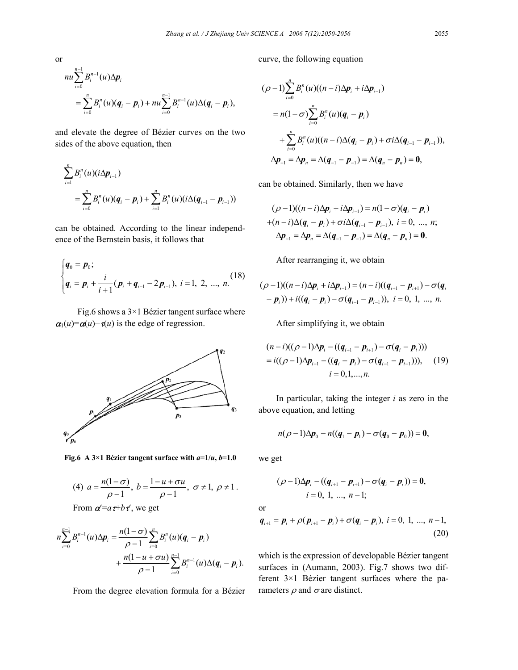curve, the following equation

$$
nu \sum_{i=0}^{n-1} B_i^{n-1}(u) \Delta p_i
$$
  
= 
$$
\sum_{i=0}^n B_i^n(u) (q_i - p_i) + nu \sum_{i=0}^{n-1} B_i^{n-1}(u) \Delta (q_i - p_i),
$$

and elevate the degree of Bézier curves on the two sides of the above equation, then

$$
\sum_{i=1}^{n} B_i^n(u)(i\Delta p_{i-1})
$$
\n
$$
= \sum_{i=0}^{n} B_i^n(u)(q_i - p_i) + \sum_{i=1}^{n} B_i^n(u)(i\Delta(q_{i-1} - p_{i-1}))
$$

can be obtained. According to the linear independence of the Bernstein basis, it follows that

$$
\begin{cases} \boldsymbol{q}_0 = \boldsymbol{p}_0; \\ \boldsymbol{q}_i = \boldsymbol{p}_i + \frac{i}{i+1} (\boldsymbol{p}_i + \boldsymbol{q}_{i-1} - 2\boldsymbol{p}_{i-1}), \ i = 1, \ 2, \ ..., \ n. \end{cases} (18)
$$

Fig.6 shows a  $3\times1$  Bézier tangent surface where  $\alpha_1(u) = \alpha(u) - \tau(u)$  is the edge of regression.



**Fig.6** A  $3\times1$  Bézier tangent surface with  $a=1/u$ ,  $b=1.0$ 

(4) 
$$
a = \frac{n(1-\sigma)}{\rho-1}
$$
,  $b = \frac{1-u+\sigma u}{\rho-1}$ ,  $\sigma \neq 1$ ,  $\rho \neq 1$ .

From  $\alpha'=a\tau+b\tau'$ , we get

$$
n\sum_{i=0}^{n-1}B_i^{n-1}(u)\Delta p_i = \frac{n(1-\sigma)}{\rho-1}\sum_{i=0}^nB_i^n(u)(q_i-p_i) + \frac{n(1-u+\sigma u)}{\rho-1}\sum_{i=0}^{n-1}B_i^{n-1}(u)\Delta(q_i-p_i).
$$

From the degree elevation formula for a Bézier

$$
(\rho - 1) \sum_{i=0}^{n} B_i^n(u) ((n - i) \Delta p_i + i \Delta p_{i-1})
$$
  
=  $n(1 - \sigma) \sum_{i=0}^{n} B_i^n(u) (q_i - p_i)$   
+  $\sum_{i=0}^{n} B_i^n(u) ((n - i) \Delta (q_i - p_i) + \sigma i \Delta (q_{i-1} - p_{i-1})),$   
 $\Delta p_{-1} = \Delta p_n = \Delta (q_{-1} - p_{-1}) = \Delta (q_n - p_n) = 0,$ 

can be obtained. Similarly, then we have

$$
(\rho - 1)((n - i)\Delta p_i + i\Delta p_{i-1}) = n(1 - \sigma)(q_i - p_i)
$$
  
+
$$
(n - i)\Delta(q_i - p_i) + \sigma i\Delta(q_{i-1} - p_{i-1}), i = 0, ..., n;
$$
  

$$
\Delta p_{-1} = \Delta p_n = \Delta(q_{-1} - p_{-1}) = \Delta(q_n - p_n) = 0.
$$

After rearranging it, we obtain

$$
(\rho - 1)((n - i)\Delta p_i + i\Delta p_{i-1}) = (n - i)((q_{i+1} - p_{i+1}) - \sigma(q_i - p_i)) + i((q_i - p_i) - \sigma(q_{i-1} - p_{i-1})), \ i = 0, 1, ..., n.
$$

After simplifying it, we obtain

$$
(n-i)((\rho-1)\Delta p_i - ((q_{i+1} - p_{i+1}) - \sigma(q_i - p_i)))
$$
  
=  $i((\rho-1)\Delta p_{i-1} - ((q_i - p_i) - \sigma(q_{i-1} - p_{i-1}))),$  (19)  
 $i = 0,1,...,n.$ 

In particular, taking the integer *i* as zero in the above equation, and letting

$$
n(\rho-1)\Delta p_0 - n((q_1 - p_1) - \sigma(q_0 - p_0)) = 0,
$$

we get

$$
(\rho-1)\Delta p_i - ((q_{i+1} - p_{i+1}) - \sigma(q_i - p_i)) = 0,
$$
  
 $i = 0, 1, ..., n-1;$ 

or

$$
\boldsymbol{q}_{i+1} = \boldsymbol{p}_i + \rho(\boldsymbol{p}_{i+1} - \boldsymbol{p}_i) + \sigma(\boldsymbol{q}_i - \boldsymbol{p}_i), \ i = 0, 1, ..., n-1,
$$
\n(20)

which is the expression of developable Bézier tangent surfaces in (Aumann, 2003). Fig.7 shows two different 3×1 Bézier tangent surfaces where the parameters  $\rho$  and  $\sigma$  are distinct.

or